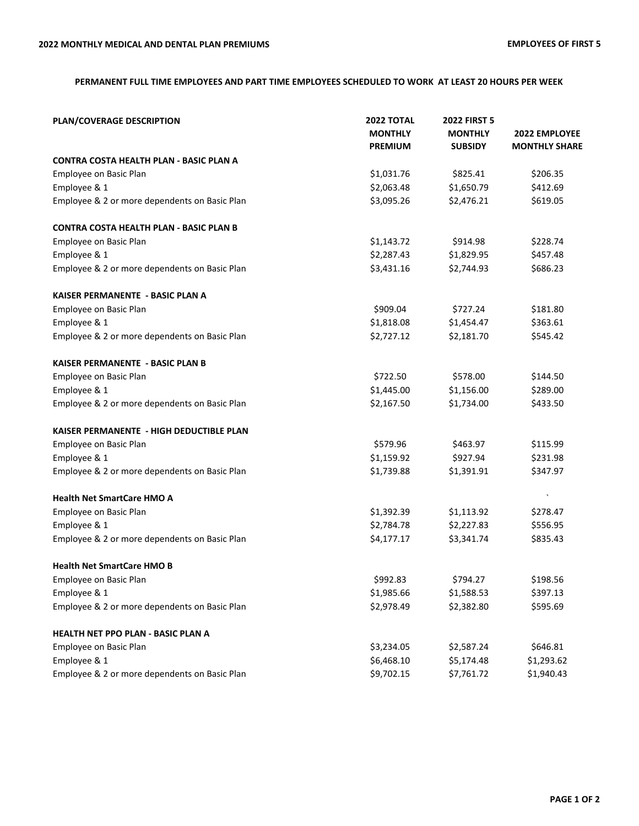## **PERMANENT FULL TIME EMPLOYEES AND PART TIME EMPLOYEES SCHEDULED TO WORK AT LEAST 20 HOURS PER WEEK**

| PLAN/COVERAGE DESCRIPTION                      | <b>2022 TOTAL</b><br><b>MONTHLY</b><br><b>PREMIUM</b> | <b>2022 FIRST 5</b><br><b>MONTHLY</b><br><b>SUBSIDY</b> | 2022 EMPLOYEE<br><b>MONTHLY SHARE</b> |
|------------------------------------------------|-------------------------------------------------------|---------------------------------------------------------|---------------------------------------|
| <b>CONTRA COSTA HEALTH PLAN - BASIC PLAN A</b> |                                                       |                                                         |                                       |
| Employee on Basic Plan                         | \$1,031.76                                            | \$825.41                                                | \$206.35                              |
| Employee & 1                                   | \$2,063.48                                            | \$1,650.79                                              | \$412.69                              |
| Employee & 2 or more dependents on Basic Plan  | \$3,095.26                                            | \$2,476.21                                              | \$619.05                              |
| <b>CONTRA COSTA HEALTH PLAN - BASIC PLAN B</b> |                                                       |                                                         |                                       |
| Employee on Basic Plan                         | \$1,143.72                                            | \$914.98                                                | \$228.74                              |
| Employee & 1                                   | \$2,287.43                                            | \$1,829.95                                              | \$457.48                              |
| Employee & 2 or more dependents on Basic Plan  | \$3,431.16                                            | \$2,744.93                                              | \$686.23                              |
| KAISER PERMANENTE - BASIC PLAN A               |                                                       |                                                         |                                       |
| Employee on Basic Plan                         | \$909.04                                              | \$727.24                                                | \$181.80                              |
| Employee & 1                                   | \$1,818.08                                            | \$1,454.47                                              | \$363.61                              |
| Employee & 2 or more dependents on Basic Plan  | \$2,727.12                                            | \$2,181.70                                              | \$545.42                              |
| KAISER PERMANENTE - BASIC PLAN B               |                                                       |                                                         |                                       |
| Employee on Basic Plan                         | \$722.50                                              | \$578.00                                                | \$144.50                              |
| Employee & 1                                   | \$1,445.00                                            | \$1,156.00                                              | \$289.00                              |
| Employee & 2 or more dependents on Basic Plan  | \$2,167.50                                            | \$1,734.00                                              | \$433.50                              |
| KAISER PERMANENTE - HIGH DEDUCTIBLE PLAN       |                                                       |                                                         |                                       |
| Employee on Basic Plan                         | \$579.96                                              | \$463.97                                                | \$115.99                              |
| Employee & 1                                   | \$1,159.92                                            | \$927.94                                                | \$231.98                              |
| Employee & 2 or more dependents on Basic Plan  | \$1,739.88                                            | \$1,391.91                                              | \$347.97                              |
| <b>Health Net SmartCare HMO A</b>              |                                                       |                                                         |                                       |
| Employee on Basic Plan                         | \$1,392.39                                            | \$1,113.92                                              | \$278.47                              |
| Employee & 1                                   | \$2,784.78                                            | \$2,227.83                                              | \$556.95                              |
| Employee & 2 or more dependents on Basic Plan  | \$4,177.17                                            | \$3,341.74                                              | \$835.43                              |
| <b>Health Net SmartCare HMO B</b>              |                                                       |                                                         |                                       |
| Employee on Basic Plan                         | \$992.83                                              | \$794.27                                                | \$198.56                              |
| Employee & 1                                   | \$1,985.66                                            | \$1,588.53                                              | \$397.13                              |
| Employee & 2 or more dependents on Basic Plan  | \$2,978.49                                            | \$2,382.80                                              | \$595.69                              |
| HEALTH NET PPO PLAN - BASIC PLAN A             |                                                       |                                                         |                                       |
| Employee on Basic Plan                         | \$3,234.05                                            | \$2,587.24                                              | \$646.81                              |
| Employee & 1                                   | \$6,468.10                                            | \$5,174.48                                              | \$1,293.62                            |
| Employee & 2 or more dependents on Basic Plan  | \$9,702.15                                            | \$7,761.72                                              | \$1,940.43                            |